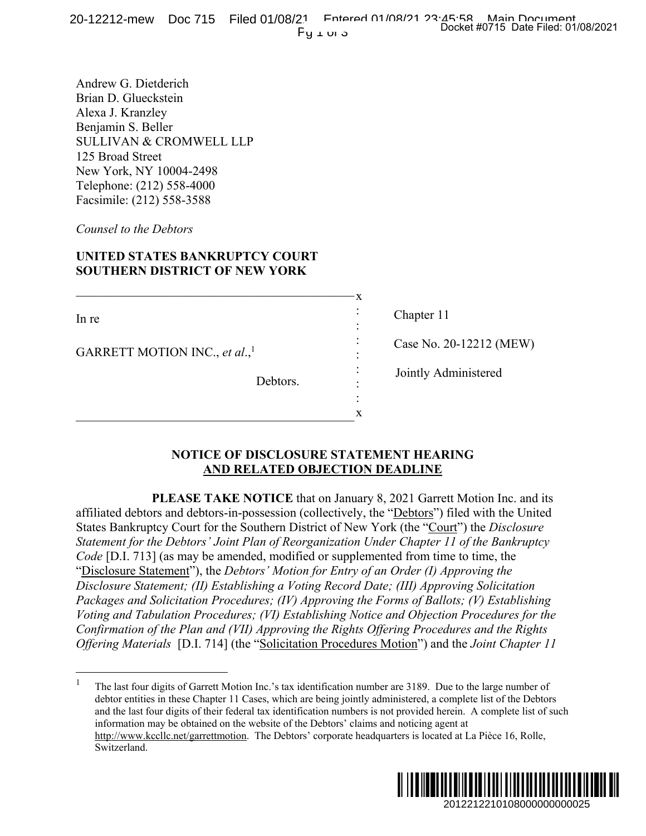Andrew G. Dietderich Brian D. Glueckstein Alexa J. Kranzley Benjamin S. Beller SULLIVAN & CROMWELL LLP 125 Broad Street New York, NY 10004-2498 Telephone: (212) 558-4000 Facsimile: (212) 558-3588

*Counsel to the Debtors*

# **UNITED STATES BANKRUPTCY COURT SOUTHERN DISTRICT OF NEW YORK**

 $\blacksquare$ 

\_\_\_\_\_\_\_\_\_\_\_\_\_\_\_\_\_\_\_\_\_\_\_\_\_\_\_\_\_\_\_\_\_\_\_\_\_\_\_\_\_\_\_\_

In re

 $\overline{a}$ 

GARRETT MOTION INC., *et al.*,<sup>1</sup>

Debtors.

Chapter 11

x : : : : : : : x

Case No. 20-12212 (MEW)

Jointly Administered

### **NOTICE OF DISCLOSURE STATEMENT HEARING AND RELATED OBJECTION DEADLINE**

**PLEASE TAKE NOTICE** that on January 8, 2021 Garrett Motion Inc. and its affiliated debtors and debtors-in-possession (collectively, the "Debtors") filed with the United States Bankruptcy Court for the Southern District of New York (the "Court") the *Disclosure Statement for the Debtors' Joint Plan of Reorganization Under Chapter 11 of the Bankruptcy Code* [D.I. 713] (as may be amended, modified or supplemented from time to time, the "Disclosure Statement"), the *Debtors' Motion for Entry of an Order (I) Approving the Disclosure Statement; (II) Establishing a Voting Record Date; (III) Approving Solicitation Packages and Solicitation Procedures; (IV) Approving the Forms of Ballots; (V) Establishing Voting and Tabulation Procedures; (VI) Establishing Notice and Objection Procedures for the Confirmation of the Plan and (VII) Approving the Rights Offering Procedures and the Rights Offering Materials* [D.I. 714] (the "Solicitation Procedures Motion") and the *Joint Chapter 11*  11<br>
20-12212 (MEW)<br>
20-12212 (MEW)<br>
dministered<br>
dministered<br>
2012<br>
2012<br>
2012<br>
2012<br>
2012<br>
2012<br>
2012<br>
2012<br>
2012<br>
2012<br>
2012<br>
2012<br>
2012<br>
2012<br>
2012<br>
2012<br>
2012<br>
2012<br>
2012<br>
2012<br>
2012<br>
2012<br>
2012<br>
2012<br>
2010<br>
2010<br>
201

<sup>&</sup>lt;sup>1</sup> The last four digits of Garrett Motion Inc.'s tax identification number are 3189. Due to the large number of debtor entities in these Chapter 11 Cases, which are being jointly administered, a complete list of the Debtors and the last four digits of their federal tax identification numbers is not provided herein. A complete list of such information may be obtained on the website of the Debtors' claims and noticing agent at http://www.kccllc.net/garrettmotion. The Debtors' corporate headquarters is located at La Pièce 16, Rolle, Switzerland.

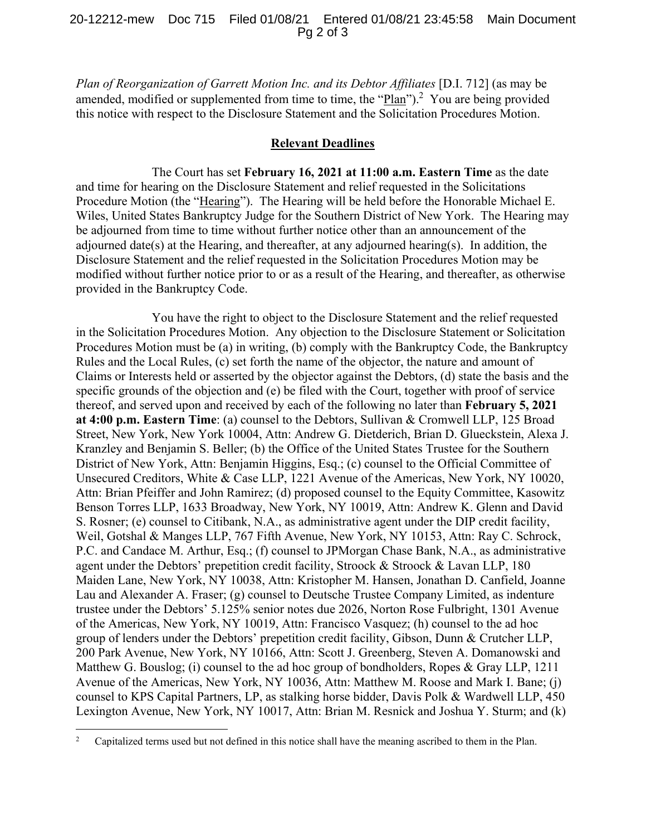#### 20-12212-mew Doc 715 Filed 01/08/21 Entered 01/08/21 23:45:58 Main Document Pg 2 of 3

*Plan of Reorganization of Garrett Motion Inc. and its Debtor Affiliates* [D.I. 712] (as may be amended, modified or supplemented from time to time, the " $Plan$ ").<sup>2</sup> You are being provided this notice with respect to the Disclosure Statement and the Solicitation Procedures Motion.

#### **Relevant Deadlines**

The Court has set **February 16, 2021 at 11:00 a.m. Eastern Time** as the date and time for hearing on the Disclosure Statement and relief requested in the Solicitations Procedure Motion (the "Hearing"). The Hearing will be held before the Honorable Michael E. Wiles, United States Bankruptcy Judge for the Southern District of New York. The Hearing may be adjourned from time to time without further notice other than an announcement of the adjourned date(s) at the Hearing, and thereafter, at any adjourned hearing(s). In addition, the Disclosure Statement and the relief requested in the Solicitation Procedures Motion may be modified without further notice prior to or as a result of the Hearing, and thereafter, as otherwise provided in the Bankruptcy Code.

You have the right to object to the Disclosure Statement and the relief requested in the Solicitation Procedures Motion. Any objection to the Disclosure Statement or Solicitation Procedures Motion must be (a) in writing, (b) comply with the Bankruptcy Code, the Bankruptcy Rules and the Local Rules, (c) set forth the name of the objector, the nature and amount of Claims or Interests held or asserted by the objector against the Debtors, (d) state the basis and the specific grounds of the objection and (e) be filed with the Court, together with proof of service thereof, and served upon and received by each of the following no later than **February 5, 2021 at 4:00 p.m. Eastern Time**: (a) counsel to the Debtors, Sullivan & Cromwell LLP, 125 Broad Street, New York, New York 10004, Attn: Andrew G. Dietderich, Brian D. Glueckstein, Alexa J. Kranzley and Benjamin S. Beller; (b) the Office of the United States Trustee for the Southern District of New York, Attn: Benjamin Higgins, Esq.; (c) counsel to the Official Committee of Unsecured Creditors, White & Case LLP, 1221 Avenue of the Americas, New York, NY 10020, Attn: Brian Pfeiffer and John Ramirez; (d) proposed counsel to the Equity Committee, Kasowitz Benson Torres LLP, 1633 Broadway, New York, NY 10019, Attn: Andrew K. Glenn and David S. Rosner; (e) counsel to Citibank, N.A., as administrative agent under the DIP credit facility, Weil, Gotshal & Manges LLP, 767 Fifth Avenue, New York, NY 10153, Attn: Ray C. Schrock, P.C. and Candace M. Arthur, Esq.; (f) counsel to JPMorgan Chase Bank, N.A., as administrative agent under the Debtors' prepetition credit facility, Stroock & Stroock & Lavan LLP, 180 Maiden Lane, New York, NY 10038, Attn: Kristopher M. Hansen, Jonathan D. Canfield, Joanne Lau and Alexander A. Fraser; (g) counsel to Deutsche Trustee Company Limited, as indenture trustee under the Debtors' 5.125% senior notes due 2026, Norton Rose Fulbright, 1301 Avenue of the Americas, New York, NY 10019, Attn: Francisco Vasquez; (h) counsel to the ad hoc group of lenders under the Debtors' prepetition credit facility, Gibson, Dunn & Crutcher LLP, 200 Park Avenue, New York, NY 10166, Attn: Scott J. Greenberg, Steven A. Domanowski and Matthew G. Bouslog; (i) counsel to the ad hoc group of bondholders, Ropes & Gray LLP, 1211 Avenue of the Americas, New York, NY 10036, Attn: Matthew M. Roose and Mark I. Bane; (j) counsel to KPS Capital Partners, LP, as stalking horse bidder, Davis Polk & Wardwell LLP, 450 Lexington Avenue, New York, NY 10017, Attn: Brian M. Resnick and Joshua Y. Sturm; and (k)

 $\frac{1}{2}$ Capitalized terms used but not defined in this notice shall have the meaning ascribed to them in the Plan.